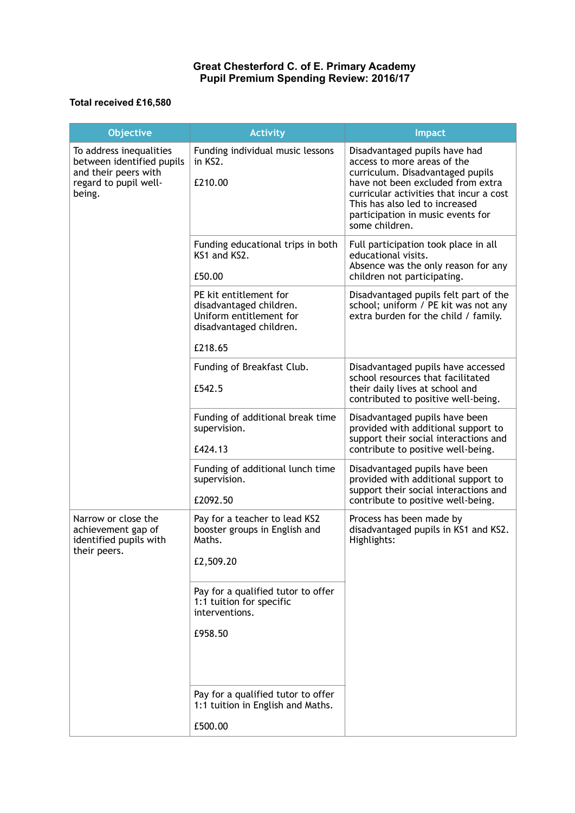## **Great Chesterford C. of E. Primary Academy Pupil Premium Spending Review: 2016/17**

## **Total received £16,580**

| <b>Objective</b>                                                                                                | <b>Activity</b>                                                                                         | <b>Impact</b>                                                                                                                                                                                                                                                             |
|-----------------------------------------------------------------------------------------------------------------|---------------------------------------------------------------------------------------------------------|---------------------------------------------------------------------------------------------------------------------------------------------------------------------------------------------------------------------------------------------------------------------------|
| To address inequalities<br>between identified pupils<br>and their peers with<br>regard to pupil well-<br>being. | Funding individual music lessons<br>in KS2.<br>£210.00                                                  | Disadvantaged pupils have had<br>access to more areas of the<br>curriculum. Disadvantaged pupils<br>have not been excluded from extra<br>curricular activities that incur a cost<br>This has also led to increased<br>participation in music events for<br>some children. |
|                                                                                                                 | Funding educational trips in both<br>KS1 and KS2.<br>£50.00                                             | Full participation took place in all<br>educational visits.<br>Absence was the only reason for any<br>children not participating.                                                                                                                                         |
|                                                                                                                 | PE kit entitlement for<br>disadvantaged children.<br>Uniform entitlement for<br>disadvantaged children. | Disadvantaged pupils felt part of the<br>school; uniform / PE kit was not any<br>extra burden for the child / family.                                                                                                                                                     |
|                                                                                                                 | £218.65                                                                                                 |                                                                                                                                                                                                                                                                           |
|                                                                                                                 | Funding of Breakfast Club.<br>£542.5                                                                    | Disadvantaged pupils have accessed<br>school resources that facilitated<br>their daily lives at school and<br>contributed to positive well-being.                                                                                                                         |
|                                                                                                                 | Funding of additional break time<br>supervision.<br>£424.13                                             | Disadvantaged pupils have been<br>provided with additional support to<br>support their social interactions and<br>contribute to positive well-being.                                                                                                                      |
|                                                                                                                 | Funding of additional lunch time<br>supervision.<br>£2092.50                                            | Disadvantaged pupils have been<br>provided with additional support to<br>support their social interactions and<br>contribute to positive well-being.                                                                                                                      |
| Narrow or close the<br>achievement gap of<br>identified pupils with<br>their peers.                             | Pay for a teacher to lead KS2<br>booster groups in English and<br>Maths.<br>£2,509.20                   | Process has been made by<br>disadvantaged pupils in KS1 and KS2.<br>Highlights:                                                                                                                                                                                           |
|                                                                                                                 | Pay for a qualified tutor to offer<br>1:1 tuition for specific<br>interventions.<br>£958.50             |                                                                                                                                                                                                                                                                           |
|                                                                                                                 |                                                                                                         |                                                                                                                                                                                                                                                                           |
|                                                                                                                 | Pay for a qualified tutor to offer<br>1:1 tuition in English and Maths.                                 |                                                                                                                                                                                                                                                                           |
|                                                                                                                 | £500.00                                                                                                 |                                                                                                                                                                                                                                                                           |